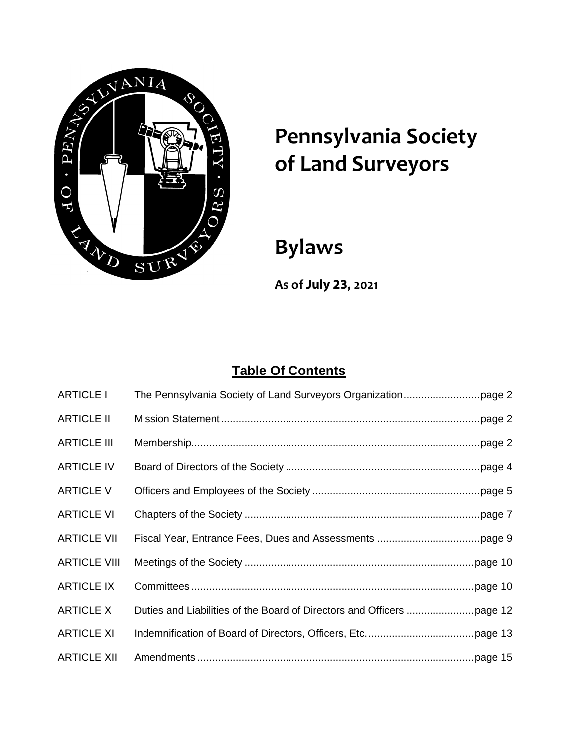

# **Pennsylvania Society of Land Surveyors**

# **Bylaws**

**As of July 23, 2021** 

# **Table Of Contents**

| <b>ARTICLE I</b>    |  |
|---------------------|--|
| <b>ARTICLE II</b>   |  |
| <b>ARTICLE III</b>  |  |
| <b>ARTICLE IV</b>   |  |
| <b>ARTICLE V</b>    |  |
| <b>ARTICLE VI</b>   |  |
| <b>ARTICLE VII</b>  |  |
| <b>ARTICLE VIII</b> |  |
| <b>ARTICLE IX</b>   |  |
| <b>ARTICLE X</b>    |  |
| <b>ARTICLE XI</b>   |  |
| <b>ARTICLE XII</b>  |  |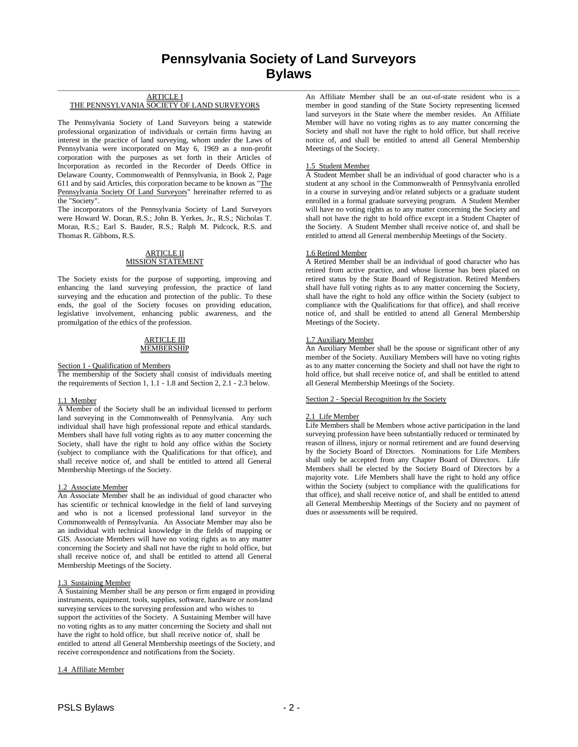# **Pennsylvania Society of Land Surveyors Bylaws**

**\_\_\_\_\_\_\_\_\_\_\_\_\_\_\_\_\_\_\_\_\_\_\_\_\_\_\_\_\_\_\_\_\_\_\_\_\_\_\_\_\_\_\_\_\_\_\_\_\_\_\_\_\_\_\_\_\_\_\_\_\_\_\_\_\_\_\_\_\_\_\_\_\_\_\_\_\_\_\_\_\_\_\_\_\_\_\_\_**

# ARTICLE I THE PENNSYLVANIA SOCIETY OF LAND SURVEYORS

The Pennsylvania Society of Land Surveyors being a statewide professional organization of individuals or certain firms having an interest in the practice of land surveying, whom under the Laws of Pennsylvania were incorporated on May 6, 1969 as a non-profit corporation with the purposes as set forth in their Articles of Incorporation as recorded in the Recorder of Deeds Office in Delaware County, Commonwealth of Pennsylvania, in Book 2, Page 611 and by said Articles, this corporation became to be known as "The Pennsylvania Society Of Land Surveyors" hereinafter referred to as the "Society".

The incorporators of the Pennsylvania Society of Land Surveyors were Howard W. Doran, R.S.; John B. Yerkes, Jr., R.S.; Nicholas T. Moran, R.S.; Earl S. Bauder, R.S.; Ralph M. Pidcock, R.S. and Thomas R. Gibbons, R.S.

# ARTICLE II MISSION STATEMENT

The Society exists for the purpose of supporting, improving and enhancing the land surveying profession, the practice of land surveying and the education and protection of the public. To these ends, the goal of the Society focuses on providing education, legislative involvement, enhancing public awareness, and the promulgation of the ethics of the profession.

#### ARTICLE III **MEMBERSHIP**

#### Section 1 - Qualification of Members

The membership of the Society shall consist of individuals meeting the requirements of Section 1, 1.1 - 1.8 and Section 2, 2.1 - 2.3 below.

# 1.1 Member

A Member of the Society shall be an individual licensed to perform land surveying in the Commonwealth of Pennsylvania. Any such individual shall have high professional repute and ethical standards. Members shall have full voting rights as to any matter concerning the Society, shall have the right to hold any office within the Society (subject to compliance with the Qualifications for that office), and shall receive notice of, and shall be entitled to attend all General Membership Meetings of the Society.

# 1.2 Associate Member

An Associate Member shall be an individual of good character who has scientific or technical knowledge in the field of land surveying and who is not a licensed professional land surveyor in the Commonwealth of Pennsylvania. An Associate Member may also be an individual with technical knowledge in the fields of mapping or GIS. Associate Members will have no voting rights as to any matter concerning the Society and shall not have the right to hold office, but shall receive notice of, and shall be entitled to attend all General Membership Meetings of the Society.

#### 1.3 Sustaining Member

A Sustaining Member shall be any person or firm engaged in providing instruments, equipment, tools, supplies, software, hardware or non-land surveying services to the surveying profession and who wishes to support the activities of the Society. A Sustaining Member will have no voting rights as to any matter concerning the Society and shall not have the right to hold office, but shall receive notice of, shall be entitled to attend all General Membership meetings of the Society, and receive correspondence and notifications from the Society.

#### 1.4 Affiliate Member

An Affiliate Member shall be an out-of-state resident who is a member in good standing of the State Society representing licensed land surveyors in the State where the member resides. An Affiliate Member will have no voting rights as to any matter concerning the Society and shall not have the right to hold office, but shall receive notice of, and shall be entitled to attend all General Membership Meetings of the Society.

# 1.5 Student Member

A Student Member shall be an individual of good character who is a student at any school in the Commonwealth of Pennsylvania enrolled in a course in surveying and/or related subjects or a graduate student enrolled in a formal graduate surveying program. A Student Member will have no voting rights as to any matter concerning the Society and shall not have the right to hold office except in a Student Chapter of the Society. A Student Member shall receive notice of, and shall be entitled to attend all General membership Meetings of the Society.

# 1.6 Retired Member

A Retired Member shall be an individual of good character who has retired from active practice, and whose license has been placed on retired status by the State Board of Registration. Retired Members shall have full voting rights as to any matter concerning the Society, shall have the right to hold any office within the Society (subject to compliance with the Qualifications for that office), and shall receive notice of, and shall be entitled to attend all General Membership Meetings of the Society.

# 1.7 Auxiliary Member

An Auxiliary Member shall be the spouse or significant other of any member of the Society. Auxiliary Members will have no voting rights as to any matter concerning the Society and shall not have the right to hold office, but shall receive notice of, and shall be entitled to attend all General Membership Meetings of the Society.

# Section 2 - Special Recognition by the Society

# 2.1 Life Member

Life Members shall be Members whose active participation in the land surveying profession have been substantially reduced or terminated by reason of illness, injury or normal retirement and are found deserving by the Society Board of Directors. Nominations for Life Members shall only be accepted from any Chapter Board of Directors. Life Members shall be elected by the Society Board of Directors by a majority vote. Life Members shall have the right to hold any office within the Society (subject to compliance with the qualifications for that office), and shall receive notice of, and shall be entitled to attend all General Membership Meetings of the Society and no payment of dues or assessments will be required.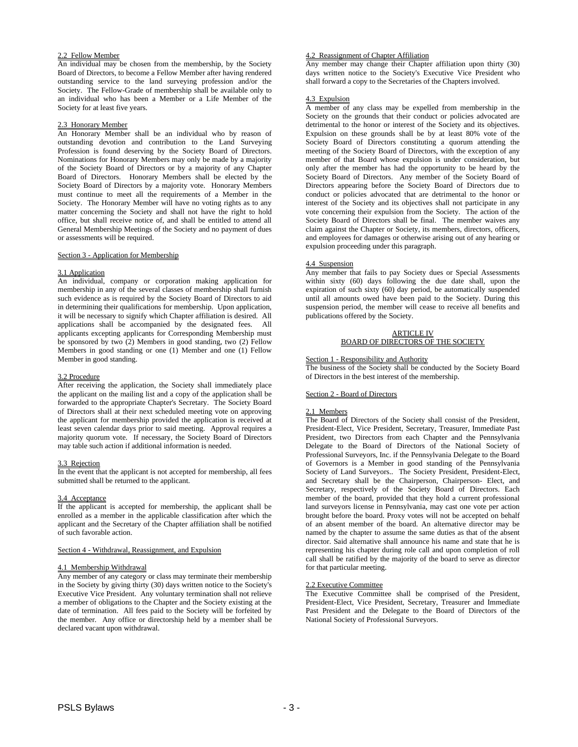# 2.2 Fellow Member

An individual may be chosen from the membership, by the Society Board of Directors, to become a Fellow Member after having rendered outstanding service to the land surveying profession and/or the Society. The Fellow-Grade of membership shall be available only to an individual who has been a Member or a Life Member of the Society for at least five years.

# 2.3 Honorary Member

An Honorary Member shall be an individual who by reason of outstanding devotion and contribution to the Land Surveying Profession is found deserving by the Society Board of Directors. Nominations for Honorary Members may only be made by a majority of the Society Board of Directors or by a majority of any Chapter Board of Directors. Honorary Members shall be elected by the Society Board of Directors by a majority vote. Honorary Members must continue to meet all the requirements of a Member in the Society. The Honorary Member will have no voting rights as to any matter concerning the Society and shall not have the right to hold office, but shall receive notice of, and shall be entitled to attend all General Membership Meetings of the Society and no payment of dues or assessments will be required.

#### Section 3 - Application for Membership

# 3.1 Application

An individual, company or corporation making application for membership in any of the several classes of membership shall furnish such evidence as is required by the Society Board of Directors to aid in determining their qualifications for membership. Upon application, it will be necessary to signify which Chapter affiliation is desired. All applications shall be accompanied by the designated fees. All applicants excepting applicants for Corresponding Membership must be sponsored by two (2) Members in good standing, two (2) Fellow Members in good standing or one (1) Member and one (1) Fellow Member in good standing.

#### 3.2 Procedure

After receiving the application, the Society shall immediately place the applicant on the mailing list and a copy of the application shall be forwarded to the appropriate Chapter's Secretary. The Society Board of Directors shall at their next scheduled meeting vote on approving the applicant for membership provided the application is received at least seven calendar days prior to said meeting. Approval requires a majority quorum vote. If necessary, the Society Board of Directors may table such action if additional information is needed.

# **Rejection**

In the event that the applicant is not accepted for membership, all fees submitted shall be returned to the applicant.

#### 3.4 Acceptance

If the applicant is accepted for membership, the applicant shall be enrolled as a member in the applicable classification after which the applicant and the Secretary of the Chapter affiliation shall be notified of such favorable action.

#### Section 4 - Withdrawal, Reassignment, and Expulsion

#### 4.1 Membership Withdrawal

Any member of any category or class may terminate their membership in the Society by giving thirty (30) days written notice to the Society's Executive Vice President. Any voluntary termination shall not relieve a member of obligations to the Chapter and the Society existing at the date of termination. All fees paid to the Society will be forfeited by the member. Any office or directorship held by a member shall be declared vacant upon withdrawal.

# 4.2 Reassignment of Chapter Affiliation

Any member may change their Chapter affiliation upon thirty (30) days written notice to the Society's Executive Vice President who shall forward a copy to the Secretaries of the Chapters involved.

# 4.3 Expulsion

A member of any class may be expelled from membership in the Society on the grounds that their conduct or policies advocated are detrimental to the honor or interest of the Society and its objectives. Expulsion on these grounds shall be by at least 80% vote of the Society Board of Directors constituting a quorum attending the meeting of the Society Board of Directors, with the exception of any member of that Board whose expulsion is under consideration, but only after the member has had the opportunity to be heard by the Society Board of Directors. Any member of the Society Board of Directors appearing before the Society Board of Directors due to conduct or policies advocated that are detrimental to the honor or interest of the Society and its objectives shall not participate in any vote concerning their expulsion from the Society. The action of the Society Board of Directors shall be final. The member waives any claim against the Chapter or Society, its members, directors, officers, and employees for damages or otherwise arising out of any hearing or expulsion proceeding under this paragraph.

# 4.4 Suspension

Any member that fails to pay Society dues or Special Assessments within sixty (60) days following the due date shall, upon the expiration of such sixty (60) day period, be automatically suspended until all amounts owed have been paid to the Society. During this suspension period, the member will cease to receive all benefits and publications offered by the Society.

> ARTICLE IV BOARD OF DIRECTORS OF THE SOCIETY

# Section 1 - Responsibility and Authority

The business of the Society shall be conducted by the Society Board of Directors in the best interest of the membership.

#### Section 2 - Board of Directors

# 2.1 Members

The Board of Directors of the Society shall consist of the President, President-Elect, Vice President, Secretary, Treasurer, Immediate Past President, two Directors from each Chapter and the Pennsylvania Delegate to the Board of Directors of the National Society of Professional Surveyors, Inc. if the Pennsylvania Delegate to the Board of Governors is a Member in good standing of the Pennsylvania Society of Land Surveyors.. The Society President, President-Elect, and Secretary shall be the Chairperson, Chairperson- Elect, and Secretary, respectively of the Society Board of Directors. Each member of the board, provided that they hold a current professional land surveyors license in Pennsylvania, may cast one vote per action brought before the board. Proxy votes will not be accepted on behalf of an absent member of the board. An alternative director may be named by the chapter to assume the same duties as that of the absent director. Said alternative shall announce his name and state that he is representing his chapter during role call and upon completion of roll call shall be ratified by the majority of the board to serve as director for that particular meeting.

#### 2.2 Executive Committee

The Executive Committee shall be comprised of the President, President-Elect, Vice President, Secretary, Treasurer and Immediate Past President and the Delegate to the Board of Directors of the National Society of Professional Surveyors.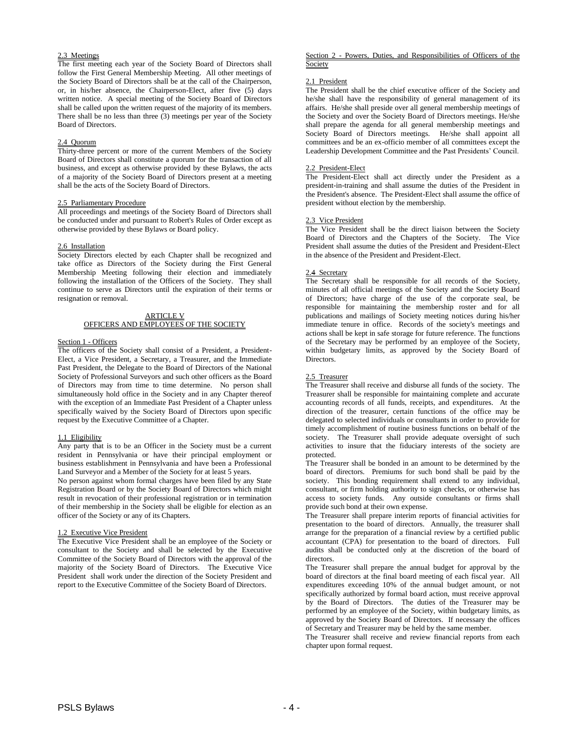# 2.3 Meetings

The first meeting each year of the Society Board of Directors shall follow the First General Membership Meeting. All other meetings of the Society Board of Directors shall be at the call of the Chairperson, or, in his/her absence, the Chairperson-Elect, after five (5) days written notice. A special meeting of the Society Board of Directors shall be called upon the written request of the majority of its members. There shall be no less than three (3) meetings per year of the Society Board of Directors.

#### 2.4 Quorum

Thirty-three percent or more of the current Members of the Society Board of Directors shall constitute a quorum for the transaction of all business, and except as otherwise provided by these Bylaws, the acts of a majority of the Society Board of Directors present at a meeting shall be the acts of the Society Board of Directors.

#### 2.5 Parliamentary Procedure

All proceedings and meetings of the Society Board of Directors shall be conducted under and pursuant to Robert's Rules of Order except as otherwise provided by these Bylaws or Board policy.

#### 2.6 Installation

Society Directors elected by each Chapter shall be recognized and take office as Directors of the Society during the First General Membership Meeting following their election and immediately following the installation of the Officers of the Society. They shall continue to serve as Directors until the expiration of their terms or resignation or removal.

#### ARTICLE V OFFICERS AND EMPLOYEES OF THE SOCIETY

#### Section 1 - Officers

The officers of the Society shall consist of a President, a President-Elect, a Vice President, a Secretary, a Treasurer, and the Immediate Past President, the Delegate to the Board of Directors of the National Society of Professional Surveyors and such other officers as the Board of Directors may from time to time determine. No person shall simultaneously hold office in the Society and in any Chapter thereof with the exception of an Immediate Past President of a Chapter unless specifically waived by the Society Board of Directors upon specific request by the Executive Committee of a Chapter.

#### 1.1 Eligibility

Any party that is to be an Officer in the Society must be a current resident in Pennsylvania or have their principal employment or business establishment in Pennsylvania and have been a Professional Land Surveyor and a Member of the Society for at least 5 years.

No person against whom formal charges have been filed by any State Registration Board or by the Society Board of Directors which might result in revocation of their professional registration or in termination of their membership in the Society shall be eligible for election as an officer of the Society or any of its Chapters.

# 1.2 Executive Vice President

The Executive Vice President shall be an employee of the Society or consultant to the Society and shall be selected by the Executive Committee of the Society Board of Directors with the approval of the majority of the Society Board of Directors. The Executive Vice President shall work under the direction of the Society President and report to the Executive Committee of the Society Board of Directors.

#### Section 2 - Powers, Duties, and Responsibilities of Officers of the Society

#### 2.1 President

The President shall be the chief executive officer of the Society and he/she shall have the responsibility of general management of its affairs. He/she shall preside over all general membership meetings of the Society and over the Society Board of Directors meetings. He/she shall prepare the agenda for all general membership meetings and Society Board of Directors meetings. He/she shall appoint all committees and be an ex-officio member of all committees except the Leadership Development Committee and the Past Presidents' Council.

#### 2.2 President-Elect

The President-Elect shall act directly under the President as a president-in-training and shall assume the duties of the President in the President's absence. The President-Elect shall assume the office of president without election by the membership.

#### 2.3 Vice President

The Vice President shall be the direct liaison between the Society Board of Directors and the Chapters of the Society. The Vice President shall assume the duties of the President and President-Elect in the absence of the President and President-Elect.

#### 2.4 Secretary

The Secretary shall be responsible for all records of the Society, minutes of all official meetings of the Society and the Society Board of Directors; have charge of the use of the corporate seal, be responsible for maintaining the membership roster and for all publications and mailings of Society meeting notices during his/her immediate tenure in office. Records of the society's meetings and actions shall be kept in safe storage for future reference. The functions of the Secretary may be performed by an employee of the Society, within budgetary limits, as approved by the Society Board of Directors.

# 2.5 Treasurer

The Treasurer shall receive and disburse all funds of the society. The Treasurer shall be responsible for maintaining complete and accurate accounting records of all funds, receipts, and expenditures. At the direction of the treasurer, certain functions of the office may be delegated to selected individuals or consultants in order to provide for timely accomplishment of routine business functions on behalf of the society. The Treasurer shall provide adequate oversight of such activities to insure that the fiduciary interests of the society are protected.

The Treasurer shall be bonded in an amount to be determined by the board of directors. Premiums for such bond shall be paid by the society. This bonding requirement shall extend to any individual, consultant, or firm holding authority to sign checks, or otherwise has access to society funds. Any outside consultants or firms shall provide such bond at their own expense.

The Treasurer shall prepare interim reports of financial activities for presentation to the board of directors. Annually, the treasurer shall arrange for the preparation of a financial review by a certified public accountant (CPA) for presentation to the board of directors. Full audits shall be conducted only at the discretion of the board of directors.

The Treasurer shall prepare the annual budget for approval by the board of directors at the final board meeting of each fiscal year. All expenditures exceeding 10% of the annual budget amount, or not specifically authorized by formal board action, must receive approval by the Board of Directors. The duties of the Treasurer may be performed by an employee of the Society, within budgetary limits, as approved by the Society Board of Directors. If necessary the offices of Secretary and Treasurer may be held by the same member.

The Treasurer shall receive and review financial reports from each chapter upon formal request.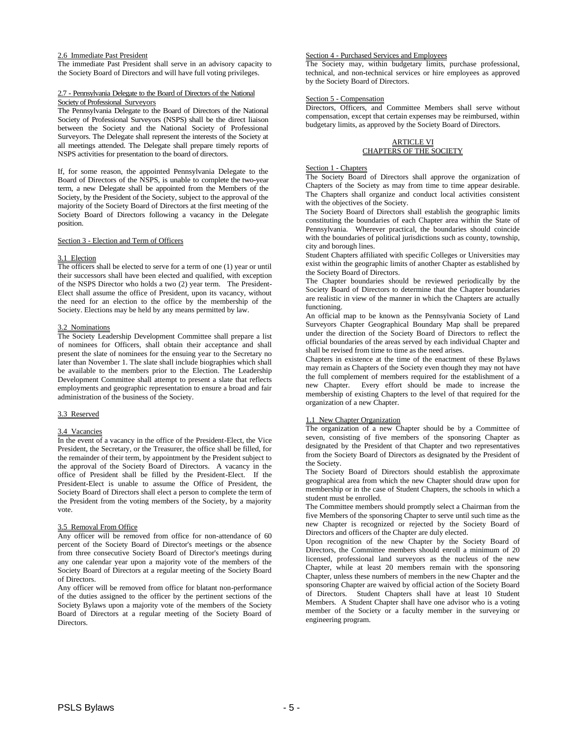# 2.6 Immediate Past President

The immediate Past President shall serve in an advisory capacity to the Society Board of Directors and will have full voting privileges.

#### 2.7 - Pennsylvania Delegate to the Board of Directors of the National Society of Professional Surveyors

The Pennsylvania Delegate to the Board of Directors of the National Society of Professional Surveyors (NSPS) shall be the direct liaison between the Society and the National Society of Professional Surveyors. The Delegate shall represent the interests of the Society at all meetings attended. The Delegate shall prepare timely reports of NSPS activities for presentation to the board of directors.

If, for some reason, the appointed Pennsylvania Delegate to the Board of Directors of the NSPS, is unable to complete the two-year term, a new Delegate shall be appointed from the Members of the Society, by the President of the Society, subject to the approval of the majority of the Society Board of Directors at the first meeting of the Society Board of Directors following a vacancy in the Delegate position.

#### Section 3 - Election and Term of Officers

# 3.1 Election

The officers shall be elected to serve for a term of one (1) year or until their successors shall have been elected and qualified, with exception of the NSPS Director who holds a two (2) year term. The President-Elect shall assume the office of President, upon its vacancy, without the need for an election to the office by the membership of the Society. Elections may be held by any means permitted by law.

# 3.2 Nominations

The Society Leadership Development Committee shall prepare a list of nominees for Officers, shall obtain their acceptance and shall present the slate of nominees for the ensuing year to the Secretary no later than November 1. The slate shall include biographies which shall be available to the members prior to the Election. The Leadership Development Committee shall attempt to present a slate that reflects employments and geographic representation to ensure a broad and fair administration of the business of the Society.

# 3.3 Reserved

# 3.4 Vacancies

In the event of a vacancy in the office of the President-Elect, the Vice President, the Secretary, or the Treasurer, the office shall be filled, for the remainder of their term, by appointment by the President subject to the approval of the Society Board of Directors. A vacancy in the office of President shall be filled by the President-Elect. If the President-Elect is unable to assume the Office of President, the Society Board of Directors shall elect a person to complete the term of the President from the voting members of the Society, by a majority vote.

# 3.5 Removal From Office

Any officer will be removed from office for non-attendance of 60 percent of the Society Board of Director's meetings or the absence from three consecutive Society Board of Director's meetings during any one calendar year upon a majority vote of the members of the Society Board of Directors at a regular meeting of the Society Board of Directors.

Any officer will be removed from office for blatant non-performance of the duties assigned to the officer by the pertinent sections of the Society Bylaws upon a majority vote of the members of the Society Board of Directors at a regular meeting of the Society Board of Directors.

# Section 4 - Purchased Services and Employees

The Society may, within budgetary limits, purchase professional, technical, and non-technical services or hire employees as approved by the Society Board of Directors.

# Section 5 - Compensation

Directors, Officers, and Committee Members shall serve without compensation, except that certain expenses may be reimbursed, within budgetary limits, as approved by the Society Board of Directors.

# ARTICLE VI CHAPTERS OF THE SOCIETY

#### Section 1 - Chapters

The Society Board of Directors shall approve the organization of Chapters of the Society as may from time to time appear desirable. The Chapters shall organize and conduct local activities consistent with the objectives of the Society.

The Society Board of Directors shall establish the geographic limits constituting the boundaries of each Chapter area within the State of Pennsylvania. Wherever practical, the boundaries should coincide with the boundaries of political jurisdictions such as county, township, city and borough lines.

Student Chapters affiliated with specific Colleges or Universities may exist within the geographic limits of another Chapter as established by the Society Board of Directors.

The Chapter boundaries should be reviewed periodically by the Society Board of Directors to determine that the Chapter boundaries are realistic in view of the manner in which the Chapters are actually functioning.

An official map to be known as the Pennsylvania Society of Land Surveyors Chapter Geographical Boundary Map shall be prepared under the direction of the Society Board of Directors to reflect the official boundaries of the areas served by each individual Chapter and shall be revised from time to time as the need arises.

Chapters in existence at the time of the enactment of these Bylaws may remain as Chapters of the Society even though they may not have the full complement of members required for the establishment of a new Chapter. Every effort should be made to increase the membership of existing Chapters to the level of that required for the organization of a new Chapter.

# 1.1 New Chapter Organization

The organization of a new Chapter should be by a Committee of seven, consisting of five members of the sponsoring Chapter as designated by the President of that Chapter and two representatives from the Society Board of Directors as designated by the President of the Society.

The Society Board of Directors should establish the approximate geographical area from which the new Chapter should draw upon for membership or in the case of Student Chapters, the schools in which a student must be enrolled.

The Committee members should promptly select a Chairman from the five Members of the sponsoring Chapter to serve until such time as the new Chapter is recognized or rejected by the Society Board of Directors and officers of the Chapter are duly elected.

Upon recognition of the new Chapter by the Society Board of Directors, the Committee members should enroll a minimum of 20 licensed, professional land surveyors as the nucleus of the new Chapter, while at least 20 members remain with the sponsoring Chapter, unless these numbers of members in the new Chapter and the sponsoring Chapter are waived by official action of the Society Board of Directors. Student Chapters shall have at least 10 Student Members. A Student Chapter shall have one advisor who is a voting member of the Society or a faculty member in the surveying or engineering program.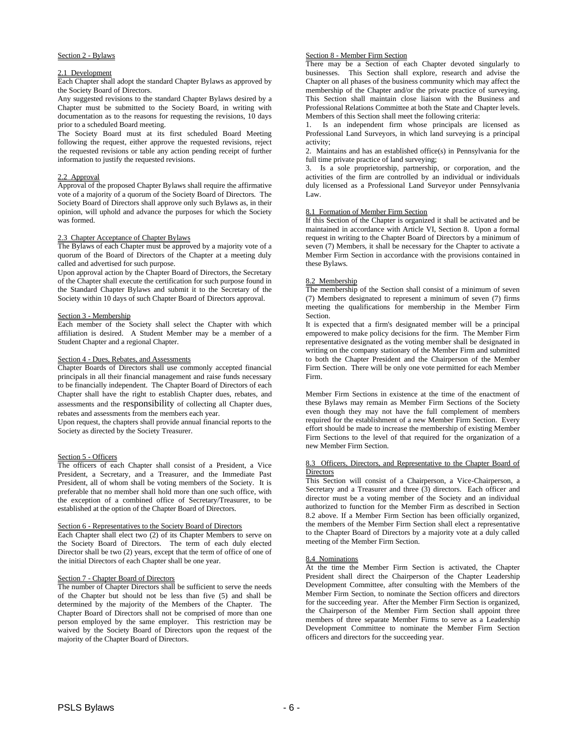# Section 2 - Bylaws

#### 2.1 Development

Each Chapter shall adopt the standard Chapter Bylaws as approved by the Society Board of Directors.

Any suggested revisions to the standard Chapter Bylaws desired by a Chapter must be submitted to the Society Board, in writing with documentation as to the reasons for requesting the revisions, 10 days prior to a scheduled Board meeting.

The Society Board must at its first scheduled Board Meeting following the request, either approve the requested revisions, reject the requested revisions or table any action pending receipt of further information to justify the requested revisions.

# 2.2 Approval

Approval of the proposed Chapter Bylaws shall require the affirmative vote of a majority of a quorum of the Society Board of Directors. The Society Board of Directors shall approve only such Bylaws as, in their opinion, will uphold and advance the purposes for which the Society was formed.

# 2.3 Chapter Acceptance of Chapter Bylaws

The Bylaws of each Chapter must be approved by a majority vote of a quorum of the Board of Directors of the Chapter at a meeting duly called and advertised for such purpose.

Upon approval action by the Chapter Board of Directors, the Secretary of the Chapter shall execute the certification for such purpose found in the Standard Chapter Bylaws and submit it to the Secretary of the Society within 10 days of such Chapter Board of Directors approval.

# Section 3 - Membership

Each member of the Society shall select the Chapter with which affiliation is desired. A Student Member may be a member of a Student Chapter and a regional Chapter.

# Section 4 - Dues, Rebates, and Assessments

Chapter Boards of Directors shall use commonly accepted financial principals in all their financial management and raise funds necessary to be financially independent. The Chapter Board of Directors of each Chapter shall have the right to establish Chapter dues, rebates, and assessments and the responsibility of collecting all Chapter dues, rebates and assessments from the members each year.

Upon request, the chapters shall provide annual financial reports to the Society as directed by the Society Treasurer.

# Section 5 - Officers

The officers of each Chapter shall consist of a President, a Vice President, a Secretary, and a Treasurer, and the Immediate Past President, all of whom shall be voting members of the Society. It is preferable that no member shall hold more than one such office, with the exception of a combined office of Secretary/Treasurer, to be established at the option of the Chapter Board of Directors.

# Section 6 - Representatives to the Society Board of Directors

Each Chapter shall elect two (2) of its Chapter Members to serve on the Society Board of Directors. The term of each duly elected Director shall be two (2) years, except that the term of office of one of the initial Directors of each Chapter shall be one year.

# Section 7 - Chapter Board of Directors

The number of Chapter Directors shall be sufficient to serve the needs of the Chapter but should not be less than five (5) and shall be determined by the majority of the Members of the Chapter. The Chapter Board of Directors shall not be comprised of more than one person employed by the same employer. This restriction may be waived by the Society Board of Directors upon the request of the majority of the Chapter Board of Directors.

# Section 8 - Member Firm Section

There may be a Section of each Chapter devoted singularly to businesses. This Section shall explore, research and advise the Chapter on all phases of the business community which may affect the membership of the Chapter and/or the private practice of surveying. This Section shall maintain close liaison with the Business and Professional Relations Committee at both the State and Chapter levels. Members of this Section shall meet the following criteria:

1. Is an independent firm whose principals are licensed as Professional Land Surveyors, in which land surveying is a principal activity;

2. Maintains and has an established office(s) in Pennsylvania for the full time private practice of land surveying;

3. Is a sole proprietorship, partnership, or corporation, and the activities of the firm are controlled by an individual or individuals duly licensed as a Professional Land Surveyor under Pennsylvania Law.

# 8.1 Formation of Member Firm Section

If this Section of the Chapter is organized it shall be activated and be maintained in accordance with Article VI, Section 8. Upon a formal request in writing to the Chapter Board of Directors by a minimum of seven (7) Members, it shall be necessary for the Chapter to activate a Member Firm Section in accordance with the provisions contained in these Bylaws.

# 8.2 Membership

The membership of the Section shall consist of a minimum of seven (7) Members designated to represent a minimum of seven (7) firms meeting the qualifications for membership in the Member Firm Section.

It is expected that a firm's designated member will be a principal empowered to make policy decisions for the firm. The Member Firm representative designated as the voting member shall be designated in writing on the company stationary of the Member Firm and submitted to both the Chapter President and the Chairperson of the Member Firm Section. There will be only one vote permitted for each Member Firm.

Member Firm Sections in existence at the time of the enactment of these Bylaws may remain as Member Firm Sections of the Society even though they may not have the full complement of members required for the establishment of a new Member Firm Section. Every effort should be made to increase the membership of existing Member Firm Sections to the level of that required for the organization of a new Member Firm Section.

#### 8.3 Officers, Directors, and Representative to the Chapter Board of **Directors**

This Section will consist of a Chairperson, a Vice-Chairperson, a Secretary and a Treasurer and three (3) directors. Each officer and director must be a voting member of the Society and an individual authorized to function for the Member Firm as described in Section 8.2 above. If a Member Firm Section has been officially organized, the members of the Member Firm Section shall elect a representative to the Chapter Board of Directors by a majority vote at a duly called meeting of the Member Firm Section.

#### 8.4 Nominations

At the time the Member Firm Section is activated, the Chapter President shall direct the Chairperson of the Chapter Leadership Development Committee, after consulting with the Members of the Member Firm Section, to nominate the Section officers and directors for the succeeding year. After the Member Firm Section is organized, the Chairperson of the Member Firm Section shall appoint three members of three separate Member Firms to serve as a Leadership Development Committee to nominate the Member Firm Section officers and directors for the succeeding year.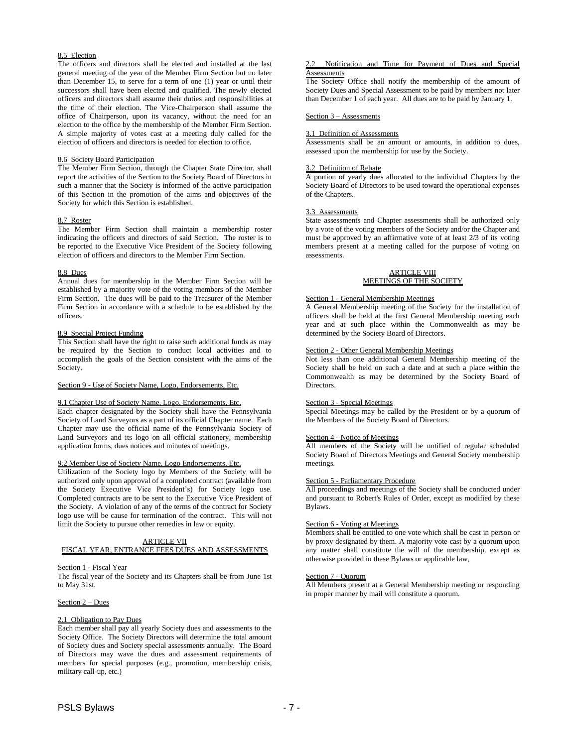# 8.5 Election

The officers and directors shall be elected and installed at the last general meeting of the year of the Member Firm Section but no later than December 15, to serve for a term of one (1) year or until their successors shall have been elected and qualified. The newly elected officers and directors shall assume their duties and responsibilities at the time of their election. The Vice-Chairperson shall assume the office of Chairperson, upon its vacancy, without the need for an election to the office by the membership of the Member Firm Section. A simple majority of votes cast at a meeting duly called for the election of officers and directors is needed for election to office.

# 8.6 Society Board Participation

The Member Firm Section, through the Chapter State Director, shall report the activities of the Section to the Society Board of Directors in such a manner that the Society is informed of the active participation of this Section in the promotion of the aims and objectives of the Society for which this Section is established.

#### 8.7 Roster

The Member Firm Section shall maintain a membership roster indicating the officers and directors of said Section. The roster is to be reported to the Executive Vice President of the Society following election of officers and directors to the Member Firm Section.

#### 8.8 Dues

Annual dues for membership in the Member Firm Section will be established by a majority vote of the voting members of the Member Firm Section. The dues will be paid to the Treasurer of the Member Firm Section in accordance with a schedule to be established by the officers.

#### 8.9 Special Project Funding

This Section shall have the right to raise such additional funds as may be required by the Section to conduct local activities and to accomplish the goals of the Section consistent with the aims of the Society.

#### Section 9 - Use of Society Name, Logo, Endorsements, Etc.

# 9.1 Chapter Use of Society Name, Logo, Endorsements, Etc.

Each chapter designated by the Society shall have the Pennsylvania Society of Land Surveyors as a part of its official Chapter name. Each Chapter may use the official name of the Pennsylvania Society of Land Surveyors and its logo on all official stationery, membership application forms, dues notices and minutes of meetings.

#### 9.2 Member Use of Society Name, Logo Endorsements, Etc.

Utilization of the Society logo by Members of the Society will be authorized only upon approval of a completed contract (available from the Society Executive Vice President's) for Society logo use. Completed contracts are to be sent to the Executive Vice President of the Society. A violation of any of the terms of the contract for Society logo use will be cause for termination of the contract. This will not limit the Society to pursue other remedies in law or equity.

# ARTICLE VII

# FISCAL YEAR, ENTRANCE FEES DUES AND ASSESSMENTS

# Section 1 - Fiscal Year

The fiscal year of the Society and its Chapters shall be from June 1st to May 31st.

# Section 2 – Dues

#### 2.1 Obligation to Pay Dues

Each member shall pay all yearly Society dues and assessments to the Society Office. The Society Directors will determine the total amount of Society dues and Society special assessments annually. The Board of Directors may wave the dues and assessment requirements of members for special purposes (e.g., promotion, membership crisis, military call-up, etc.)

#### 2.2 Notification and Time for Payment of Dues and Special **Assessments**

The Society Office shall notify the membership of the amount of Society Dues and Special Assessment to be paid by members not later than December 1 of each year. All dues are to be paid by January 1.

#### Section 3 – Assessments

#### 3.1 Definition of Assessments

Assessments shall be an amount or amounts, in addition to dues, assessed upon the membership for use by the Society.

# 3.2 Definition of Rebate

A portion of yearly dues allocated to the individual Chapters by the Society Board of Directors to be used toward the operational expenses of the Chapters.

#### 3.3 Assessments

State assessments and Chapter assessments shall be authorized only by a vote of the voting members of the Society and/or the Chapter and must be approved by an affirmative vote of at least 2/3 of its voting members present at a meeting called for the purpose of voting on assessments.

# ARTICLE VIII MEETINGS OF THE SOCIETY

#### Section 1 - General Membership Meetings

A General Membership meeting of the Society for the installation of officers shall be held at the first General Membership meeting each year and at such place within the Commonwealth as may be determined by the Society Board of Directors.

# Section 2 - Other General Membership Meetings

Not less than one additional General Membership meeting of the Society shall be held on such a date and at such a place within the Commonwealth as may be determined by the Society Board of Directors.

#### Section 3 - Special Meetings

Special Meetings may be called by the President or by a quorum of the Members of the Society Board of Directors.

#### Section 4 - Notice of Meetings

All members of the Society will be notified of regular scheduled Society Board of Directors Meetings and General Society membership meetings.

# Section 5 - Parliamentary Procedure

All proceedings and meetings of the Society shall be conducted under and pursuant to Robert's Rules of Order, except as modified by these Bylaws.

#### Section 6 - Voting at Meetings

Members shall be entitled to one vote which shall be cast in person or by proxy designated by them. A majority vote cast by a quorum upon any matter shall constitute the will of the membership, except as otherwise provided in these Bylaws or applicable law,

#### Section 7 - Quorum

All Members present at a General Membership meeting or responding in proper manner by mail will constitute a quorum.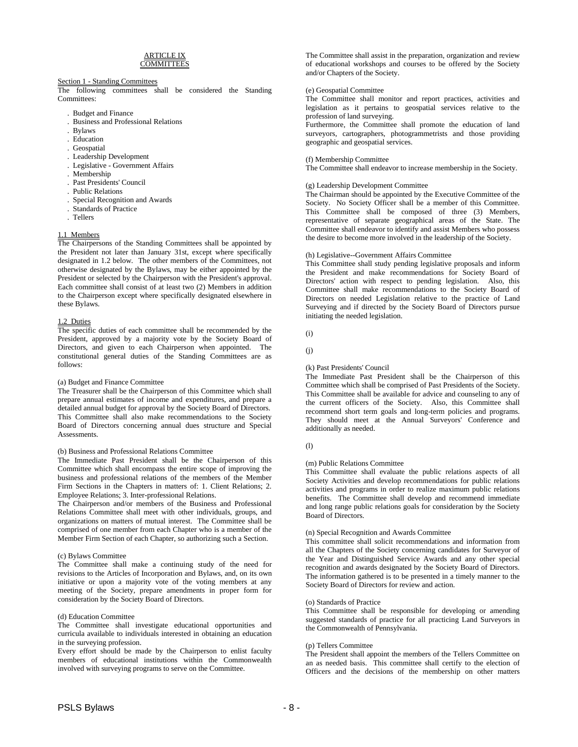#### ARTICLE IX **COMMITTEES**

# Section 1 - Standing Committees

The following committees shall be considered the Standing Committees:

- . Budget and Finance
- . Business and Professional Relations
- . Bylaws
- . Education
- . Geospatial
- . Leadership Development
- . Legislative Government Affairs
- . Membership
- . Past Presidents' Council
- . Public Relations
- . Special Recognition and Awards
- . Standards of Practice
- . Tellers

#### 1.1 Members

The Chairpersons of the Standing Committees shall be appointed by the President not later than January 31st, except where specifically designated in 1.2 below. The other members of the Committees, not otherwise designated by the Bylaws, may be either appointed by the President or selected by the Chairperson with the President's approval. Each committee shall consist of at least two (2) Members in addition to the Chairperson except where specifically designated elsewhere in these Bylaws.

# 1.2 Duties

The specific duties of each committee shall be recommended by the President, approved by a majority vote by the Society Board of Directors, and given to each Chairperson when appointed. The constitutional general duties of the Standing Committees are as follows:

#### (a) Budget and Finance Committee

The Treasurer shall be the Chairperson of this Committee which shall prepare annual estimates of income and expenditures, and prepare a detailed annual budget for approval by the Society Board of Directors. This Committee shall also make recommendations to the Society Board of Directors concerning annual dues structure and Special Assessments.

#### (b) Business and Professional Relations Committee

The Immediate Past President shall be the Chairperson of this Committee which shall encompass the entire scope of improving the business and professional relations of the members of the Member Firm Sections in the Chapters in matters of: 1. Client Relations; 2. Employee Relations; 3. Inter-professional Relations.

The Chairperson and/or members of the Business and Professional Relations Committee shall meet with other individuals, groups, and organizations on matters of mutual interest. The Committee shall be comprised of one member from each Chapter who is a member of the Member Firm Section of each Chapter, so authorizing such a Section.

# (c) Bylaws Committee

The Committee shall make a continuing study of the need for revisions to the Articles of Incorporation and Bylaws, and, on its own initiative or upon a majority vote of the voting members at any meeting of the Society, prepare amendments in proper form for consideration by the Society Board of Directors.

#### (d) Education Committee

The Committee shall investigate educational opportunities and curricula available to individuals interested in obtaining an education in the surveying profession.

Every effort should be made by the Chairperson to enlist faculty members of educational institutions within the Commonwealth involved with surveying programs to serve on the Committee.

The Committee shall assist in the preparation, organization and review of educational workshops and courses to be offered by the Society and/or Chapters of the Society.

#### (e) Geospatial Committee

The Committee shall monitor and report practices, activities and legislation as it pertains to geospatial services relative to the profession of land surveying.

Furthermore, the Committee shall promote the education of land surveyors, cartographers, photogrammetrists and those providing geographic and geospatial services.

#### (f) Membership Committee

The Committee shall endeavor to increase membership in the Society.

#### (g) Leadership Development Committee

The Chairman should be appointed by the Executive Committee of the Society. No Society Officer shall be a member of this Committee. This Committee shall be composed of three (3) Members, representative of separate geographical areas of the State. The Committee shall endeavor to identify and assist Members who possess the desire to become more involved in the leadership of the Society.

# (h) Legislative--Government Affairs Committee

This Committee shall study pending legislative proposals and inform the President and make recommendations for Society Board of Directors' action with respect to pending legislation. Also, this Committee shall make recommendations to the Society Board of Directors on needed Legislation relative to the practice of Land Surveying and if directed by the Society Board of Directors pursue initiating the needed legislation.

(i)

 $(i)$ 

#### (k) Past Presidents' Council

The Immediate Past President shall be the Chairperson of this Committee which shall be comprised of Past Presidents of the Society. This Committee shall be available for advice and counseling to any of the current officers of the Society. Also, this Committee shall recommend short term goals and long-term policies and programs. They should meet at the Annual Surveyors' Conference and additionally as needed.

#### (l)

#### (m) Public Relations Committee

This Committee shall evaluate the public relations aspects of all Society Activities and develop recommendations for public relations activities and programs in order to realize maximum public relations benefits. The Committee shall develop and recommend immediate and long range public relations goals for consideration by the Society Board of Directors.

#### (n) Special Recognition and Awards Committee

This committee shall solicit recommendations and information from all the Chapters of the Society concerning candidates for Surveyor of the Year and Distinguished Service Awards and any other special recognition and awards designated by the Society Board of Directors. The information gathered is to be presented in a timely manner to the Society Board of Directors for review and action.

#### (o) Standards of Practice

This Committee shall be responsible for developing or amending suggested standards of practice for all practicing Land Surveyors in the Commonwealth of Pennsylvania.

#### (p) Tellers Committee

The President shall appoint the members of the Tellers Committee on an as needed basis. This committee shall certify to the election of Officers and the decisions of the membership on other matters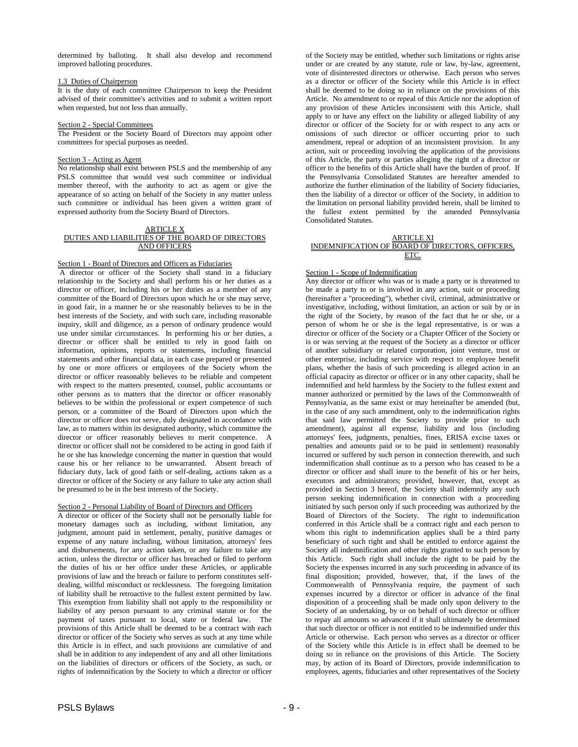determined by balloting. It shall also develop and recommend improved balloting procedures.

#### 1.3 Duties of Chairperson

It is the duty of each committee Chairperson to keep the President advised of their committee's activities and to submit a written report when requested, but not less than annually.

#### Section 2 - Special Committees

The President or the Society Board of Directors may appoint other committees for special purposes as needed.

# Section 3 - Acting as Agent

No relationship shall exist between PSLS and the membership of any PSLS committee that would vest such committee or individual member thereof, with the authority to act as agent or give the appearance of so acting on behalf of the Society in any matter unless such committee or individual has been given a written grant of expressed authority from the Society Board of Directors.

#### ARTICLE X DUTIES AND LIABILITIES OF THE BOARD OF DIRECTORS AND OFFICERS

# Section 1 - Board of Directors and Officers as Fiduciaries

A director or officer of the Society shall stand in a fiduciary relationship to the Society and shall perform his or her duties as a director or officer, including his or her duties as a member of any committee of the Board of Directors upon which he or she may serve, in good fair, in a manner he or she reasonably believes to be in the best interests of the Society, and with such care, including reasonable inquiry, skill and diligence, as a person of ordinary prudence would use under similar circumstances. In performing his or her duties, a director or officer shall be entitled to rely in good faith on information, opinions, reports or statements, including financial statements and other financial data, in each case prepared or presented by one or more officers or employees of the Society whom the director or officer reasonably believes to be reliable and competent with respect to the matters presented, counsel, public accountants or other persons as to matters that the director or officer reasonably believes to be within the professional or expert competence of such person, or a committee of the Board of Directors upon which the director or officer does not serve, duly designated in accordance with law, as to matters within its designated authority, which committee the director or officer reasonably believes to merit competence. director or officer shall not be considered to be acting in good faith if he or she has knowledge concerning the matter in question that would cause his or her reliance to be unwarranted. Absent breach of fiduciary duty, lack of good faith or self-dealing, actions taken as a director or officer of the Society or any failure to take any action shall be presumed to be in the best interests of the Society.

# Section 2 - Personal Liability of Board of Directors and Officers

A director or officer of the Society shall not be personally liable for monetary damages such as including, without limitation, any judgment, amount paid in settlement, penalty, punitive damages or expense of any nature including, without limitation, attorneys' fees and disbursements, for any action taken, or any failure to take any action, unless the director or officer has breached or filed to perform the duties of his or her office under these Articles, or applicable provisions of law and the breach or failure to perform constitutes selfdealing, willful misconduct or recklessness. The foregoing limitation of liability shall be retroactive to the fullest extent permitted by law. This exemption from liability shall not apply to the responsibility or liability of any person pursuant to any criminal statute or for the payment of taxes pursuant to local, state or federal law. The provisions of this Article shall be deemed to be a contract with each director or officer of the Society who serves as such at any time while this Article is in effect, and such provisions are cumulative of and shall be in addition to any independent of any and all other limitations on the liabilities of directors or officers of the Society, as such, or rights of indemnification by the Society to which a director or officer

of the Society may be entitled, whether such limitations or rights arise under or are created by any statute, rule or law, by-law, agreement, vote of disinterested directors or otherwise. Each person who serves as a director or officer of the Society while this Article is in effect shall be deemed to be doing so in reliance on the provisions of this Article. No amendment to or repeal of this Article nor the adoption of any provision of these Articles inconsistent with this Article, shall apply to or have any effect on the liability or alleged liability of any director or officer of the Society for or with respect to any acts or omissions of such director or officer occurring prior to such amendment, repeal or adoption of an inconsistent provision. In any action, suit or proceeding involving the application of the provisions of this Article, the party or parties alleging the right of a director or officer to the benefits of this Article shall have the burden of proof. If the Pennsylvania Consolidated Statutes are hereafter amended to authorize the further elimination of the liability of Society fiduciaries, then the liability of a director or officer of the Society, in addition to the limitation on personal liability provided herein, shall be limited to the fullest extent permitted by the amended Pennsylvania Consolidated Statutes.

| ARTICLE XI                                       |
|--------------------------------------------------|
| INDEMNIFICATION OF BOARD OF DIRECTORS. OFFICERS. |
| ETC                                              |

# Section 1 - Scope of Indemnification

Any director or officer who was or is made a party or is threatened to be made a party to or is involved in any action, suit or proceeding (hereinafter a "proceeding"), whether civil, criminal, administrative or investigative, including, without limitation, an action or suit by or in the right of the Society, by reason of the fact that he or she, or a person of whom he or she is the legal representative, is or was a director or officer of the Society or a Chapter Officer of the Society or is or was serving at the request of the Society as a director or officer of another subsidiary or related corporation, joint venture, trust or other enterprise, including service with respect to employee benefit plans, whether the basis of such proceeding is alleged action in an official capacity as director or officer or in any other capacity, shall be indemnified and held harmless by the Society to the fullest extent and manner authorized or permitted by the laws of the Commonwealth of Pennsylvania, as the same exist or may hereinafter be amended (but, in the case of any such amendment, only to the indemnification rights that said law permitted the Society to provide prior to such amendment), against all expense, liability and loss (including attorneys' fees, judgments, penalties, fines, ERISA excise taxes or penalties and amounts paid or to be paid in settlement) reasonably incurred or suffered by such person in connection therewith, and such indemnification shall continue as to a person who has ceased to be a director or officer and shall inure to the benefit of his or her heirs, executors and administrators; provided, however, that, except as provided in Section 3 hereof, the Society shall indemnify any such person seeking indemnification in connection with a proceeding initiated by such person only if such proceeding was authorized by the Board of Directors of the Society. The right to indemnification conferred in this Article shall be a contract right and each person to whom this right to indemnification applies shall be a third party beneficiary of such right and shall be entitled to enforce against the Society all indemnification and other rights granted to such person by this Article. Such right shall include the right to be paid by the Society the expenses incurred in any such proceeding in advance of its final disposition; provided, however, that, if the laws of the Commonwealth of Pennsylvania require, the payment of such expenses incurred by a director or officer in advance of the final disposition of a proceeding shall be made only upon delivery to the Society of an undertaking, by or on behalf of such director or officer to repay all amounts so advanced if it shall ultimately be determined that such director or officer is not entitled to be indemnified under this Article or otherwise. Each person who serves as a director or officer of the Society while this Article is in effect shall be deemed to be doing so in reliance on the provisions of this Article. The Society may, by action of its Board of Directors, provide indemnification to employees, agents, fiduciaries and other representatives of the Society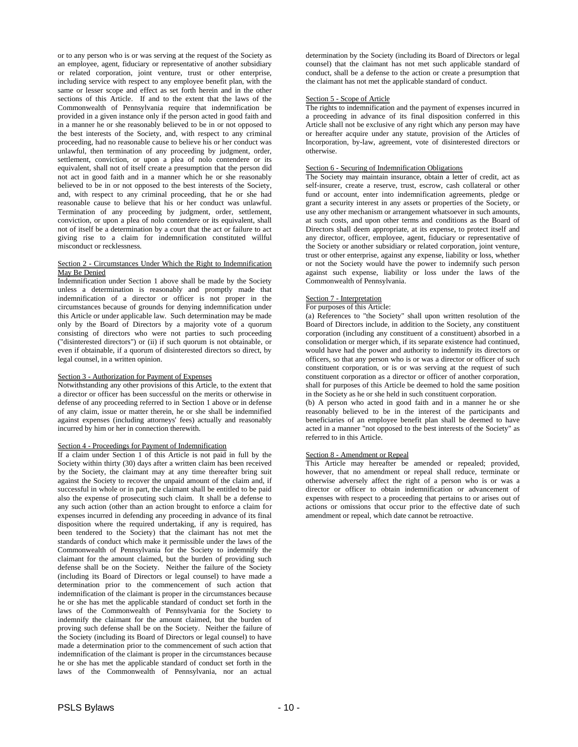or to any person who is or was serving at the request of the Society as an employee, agent, fiduciary or representative of another subsidiary or related corporation, joint venture, trust or other enterprise, including service with respect to any employee benefit plan, with the same or lesser scope and effect as set forth herein and in the other sections of this Article. If and to the extent that the laws of the Commonwealth of Pennsylvania require that indemnification be provided in a given instance only if the person acted in good faith and in a manner he or she reasonably believed to be in or not opposed to the best interests of the Society, and, with respect to any criminal proceeding, had no reasonable cause to believe his or her conduct was unlawful, then termination of any proceeding by judgment, order, settlement, conviction, or upon a plea of nolo contendere or its equivalent, shall not of itself create a presumption that the person did not act in good faith and in a manner which he or she reasonably believed to be in or not opposed to the best interests of the Society, and, with respect to any criminal proceeding, that he or she had reasonable cause to believe that his or her conduct was unlawful. Termination of any proceeding by judgment, order, settlement, conviction, or upon a plea of nolo contendere or its equivalent, shall not of itself be a determination by a court that the act or failure to act giving rise to a claim for indemnification constituted willful misconduct or recklessness.

# Section 2 - Circumstances Under Which the Right to Indemnification May Be Denied

Indemnification under Section 1 above shall be made by the Society unless a determination is reasonably and promptly made that indemnification of a director or officer is not proper in the circumstances because of grounds for denying indemnification under this Article or under applicable law. Such determination may be made only by the Board of Directors by a majority vote of a quorum consisting of directors who were not parties to such proceeding ("disinterested directors") or (ii) if such quorum is not obtainable, or even if obtainable, if a quorum of disinterested directors so direct, by legal counsel, in a written opinion.

# Section 3 - Authorization for Payment of Expenses

Notwithstanding any other provisions of this Article, to the extent that a director or officer has been successful on the merits or otherwise in defense of any proceeding referred to in Section 1 above or in defense of any claim, issue or matter therein, he or she shall be indemnified against expenses (including attorneys' fees) actually and reasonably incurred by him or her in connection therewith.

# Section 4 - Proceedings for Payment of Indemnification

If a claim under Section 1 of this Article is not paid in full by the Society within thirty (30) days after a written claim has been received by the Society, the claimant may at any time thereafter bring suit against the Society to recover the unpaid amount of the claim and, if successful in whole or in part, the claimant shall be entitled to be paid also the expense of prosecuting such claim. It shall be a defense to any such action (other than an action brought to enforce a claim for expenses incurred in defending any proceeding in advance of its final disposition where the required undertaking, if any is required, has been tendered to the Society) that the claimant has not met the standards of conduct which make it permissible under the laws of the Commonwealth of Pennsylvania for the Society to indemnify the claimant for the amount claimed, but the burden of providing such defense shall be on the Society. Neither the failure of the Society (including its Board of Directors or legal counsel) to have made a determination prior to the commencement of such action that indemnification of the claimant is proper in the circumstances because he or she has met the applicable standard of conduct set forth in the laws of the Commonwealth of Pennsylvania for the Society to indemnify the claimant for the amount claimed, but the burden of proving such defense shall be on the Society. Neither the failure of the Society (including its Board of Directors or legal counsel) to have made a determination prior to the commencement of such action that indemnification of the claimant is proper in the circumstances because he or she has met the applicable standard of conduct set forth in the laws of the Commonwealth of Pennsylvania, nor an actual

determination by the Society (including its Board of Directors or legal counsel) that the claimant has not met such applicable standard of conduct, shall be a defense to the action or create a presumption that the claimant has not met the applicable standard of conduct.

# Section 5 - Scope of Article

The rights to indemnification and the payment of expenses incurred in a proceeding in advance of its final disposition conferred in this Article shall not be exclusive of any right which any person may have or hereafter acquire under any statute, provision of the Articles of Incorporation, by-law, agreement, vote of disinterested directors or otherwise.

# Section 6 - Securing of Indemnification Obligations

The Society may maintain insurance, obtain a letter of credit, act as self-insurer, create a reserve, trust, escrow, cash collateral or other fund or account, enter into indemnification agreements, pledge or grant a security interest in any assets or properties of the Society, or use any other mechanism or arrangement whatsoever in such amounts, at such costs, and upon other terms and conditions as the Board of Directors shall deem appropriate, at its expense, to protect itself and any director, officer, employee, agent, fiduciary or representative of the Society or another subsidiary or related corporation, joint venture, trust or other enterprise, against any expense, liability or loss, whether or not the Society would have the power to indemnify such person against such expense, liability or loss under the laws of the Commonwealth of Pennsylvania.

#### Section 7 - Interpretation

# For purposes of this Article:

(a) References to "the Society" shall upon written resolution of the Board of Directors include, in addition to the Society, any constituent corporation (including any constituent of a constituent) absorbed in a consolidation or merger which, if its separate existence had continued, would have had the power and authority to indemnify its directors or officers, so that any person who is or was a director or officer of such constituent corporation, or is or was serving at the request of such constituent corporation as a director or officer of another corporation, shall for purposes of this Article be deemed to hold the same position in the Society as he or she held in such constituent corporation.

(b) A person who acted in good faith and in a manner he or she reasonably believed to be in the interest of the participants and beneficiaries of an employee benefit plan shall be deemed to have acted in a manner "not opposed to the best interests of the Society" as referred to in this Article.

#### Section 8 - Amendment or Repeal

This Article may hereafter be amended or repealed; provided, however, that no amendment or repeal shall reduce, terminate or otherwise adversely affect the right of a person who is or was a director or officer to obtain indemnification or advancement of expenses with respect to a proceeding that pertains to or arises out of actions or omissions that occur prior to the effective date of such amendment or repeal, which date cannot be retroactive.